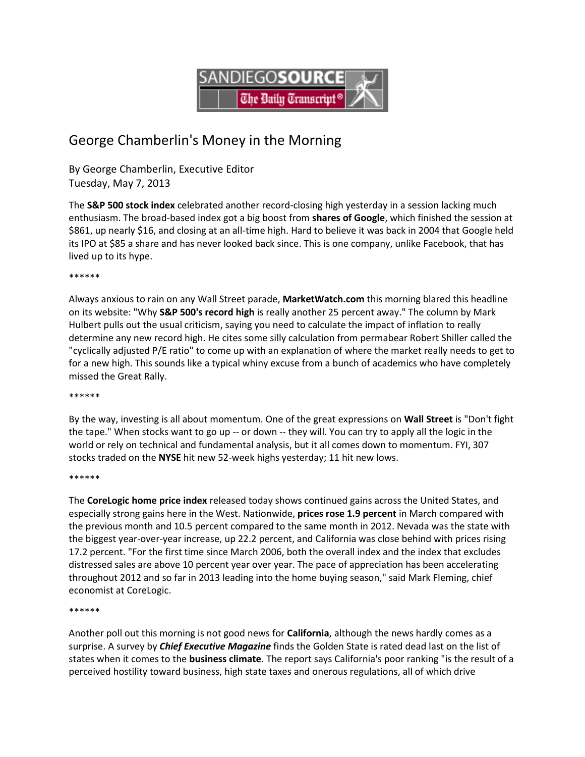

# George Chamberlin's Money in the Morning

By George Chamberlin, Executive Editor Tuesday, May 7, 2013

The **S&P 500 stock index** celebrated another record-closing high yesterday in a session lacking much enthusiasm. The broad-based index got a big boost from **shares of Google**, which finished the session at \$861, up nearly \$16, and closing at an all-time high. Hard to believe it was back in 2004 that Google held its IPO at \$85 a share and has never looked back since. This is one company, unlike Facebook, that has lived up to its hype.

## \*\*\*\*\*\*

Always anxious to rain on any Wall Street parade, **MarketWatch.com** this morning blared this headline on its website: "Why **S&P 500's record high** is really another 25 percent away." The column by Mark Hulbert pulls out the usual criticism, saying you need to calculate the impact of inflation to really determine any new record high. He cites some silly calculation from permabear Robert Shiller called the "cyclically adjusted P/E ratio" to come up with an explanation of where the market really needs to get to for a new high. This sounds like a typical whiny excuse from a bunch of academics who have completely missed the Great Rally.

\*\*\*\*\*\*

By the way, investing is all about momentum. One of the great expressions on **Wall Street** is "Don't fight the tape." When stocks want to go up -- or down -- they will. You can try to apply all the logic in the world or rely on technical and fundamental analysis, but it all comes down to momentum. FYI, 307 stocks traded on the **NYSE** hit new 52-week highs yesterday; 11 hit new lows.

#### \*\*\*\*\*\*

The **CoreLogic home price index** released today shows continued gains across the United States, and especially strong gains here in the West. Nationwide, **prices rose 1.9 percent** in March compared with the previous month and 10.5 percent compared to the same month in 2012. Nevada was the state with the biggest year-over-year increase, up 22.2 percent, and California was close behind with prices rising 17.2 percent. "For the first time since March 2006, both the overall index and the index that excludes distressed sales are above 10 percent year over year. The pace of appreciation has been accelerating throughout 2012 and so far in 2013 leading into the home buying season," said Mark Fleming, chief economist at CoreLogic.

#### \*\*\*\*\*\*

Another poll out this morning is not good news for **California**, although the news hardly comes as a surprise. A survey by *Chief Executive Magazine* finds the Golden State is rated dead last on the list of states when it comes to the **business climate**. The report says California's poor ranking "is the result of a perceived hostility toward business, high state taxes and onerous regulations, all of which drive